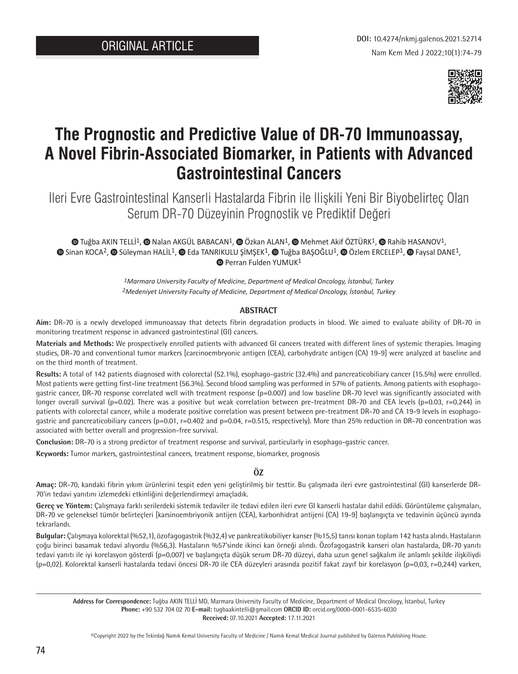

# **The Prognostic and Predictive Value of DR-70 Immunoassay, A Novel Fibrin-Associated Biomarker, in Patients with Advanced Gastrointestinal Cancers**

İleri Evre Gastrointestinal Kanserli Hastalarda Fibrin ile İlişkili Yeni Bir Biyobelirteç Olan Serum DR-70 Düzeyinin Prognostik ve Prediktif Değeri

 $\bullet$ Tuğba AKIN TELLİ<sup>1</sup>,  $\bullet$  Nalan AKGÜL BABACAN<sup>1</sup>,  $\bullet$  Özkan ALAN<sup>1</sup>,  $\bullet$  Mehmet Akif ÖZTÜRK<sup>1</sup>,  $\bullet$  Rahib HASANOV<sup>1</sup>, **©**Sinan KOCA<sup>2</sup>, © Süleyman HALİL<sup>1</sup>, © Eda TANRIKULU ŞİMŞEK<sup>1</sup>, © Tuğba BAŞOĞLU<sup>1</sup>, © Özlem ERCELEP<sup>1</sup>, © Faysal DANE<sup>1</sup>, **PerranFulden YUMUK1** 

> *1Marmara University Faculty of Medicine, Department of Medical Oncology, İstanbul, Turkey 2Medeniyet University Faculty of Medicine, Department of Medical Oncology, İstanbul, Turkey*

## **ABSTRACT**

**Aim:** DR-70 is a newly developed immunoassay that detects fibrin degradation products in blood. We aimed to evaluate ability of DR-70 in monitoring treatment response in advanced gastrointestinal (GI) cancers.

**Materials and Methods:** We prospectively enrolled patients with advanced GI cancers treated with different lines of systemic therapies. Imaging studies, DR-70 and conventional tumor markers [carcinoembryonic antigen (CEA), carbohydrate antigen (CA) 19-9] were analyzed at baseline and on the third month of treatment.

**Results:** A total of 142 patients diagnosed with colorectal (52.1%), esophago-gastric (32.4%) and pancreaticobiliary cancer (15.5%) were enrolled. Most patients were getting first-line treatment (56.3%). Second blood sampling was performed in 57% of patients. Among patients with esophagogastric cancer, DR-70 response correlated well with treatment response (p=0.007) and low baseline DR-70 level was significantly associated with longer overall survival ( $p=0.02$ ). There was a positive but weak correlation between pre-treatment DR-70 and CEA levels ( $p=0.03$ ,  $r=0.244$ ) in patients with colorectal cancer, while a moderate positive correlation was present between pre-treatment DR-70 and CA 19-9 levels in esophagogastric and pancreaticobiliary cancers (p=0.01, r=0.402 and p=0.04, r=0.515, respectively). More than 25% reduction in DR-70 concentration was associated with better overall and progression-free survival.

**Conclusion:** DR-70 is a strong predictor of treatment response and survival, particularly in esophago-gastric cancer.

**Keywords:** Tumor markers, gastrointestinal cancers, treatment response, biomarker, prognosis

## **ÖZ**

**Amaç:** DR-70, kandaki fibrin yıkım ürünlerini tespit eden yeni geliştirilmiş bir testtir. Bu çalışmada ileri evre gastrointestinal (GI) kanserlerde DR-70'in tedavi yanıtını izlemedeki etkinliğini değerlendirmeyi amaçladık.

**Gereç ve Yöntem:** Çalışmaya farklı serilerdeki sistemik tedaviler ile tedavi edilen ileri evre GI kanserli hastalar dahil edildi. Görüntüleme çalışmaları, DR-70 ve geleneksel tümör belirteçleri [karsinoembriyonik antijen (CEA), karbonhidrat antijeni (CA) 19-9] başlangıçta ve tedavinin üçüncü ayında tekrarlandı.

**Bulgular:** Çalışmaya kolorektal (%52,1), özofagogastrik (%32,4) ve pankreatikobiliyer kanser (%15,5) tanısı konan toplam 142 hasta alındı. Hastaların çoğu birinci basamak tedavi alıyordu (%56,3). Hastaların %57'sinde ikinci kan örneği alındı. Özofagogastrik kanseri olan hastalarda, DR-70 yanıtı tedavi yanıtı ile iyi korelasyon gösterdi (p=0,007) ve başlangıçta düşük serum DR-70 düzeyi, daha uzun genel sağkalım ile anlamlı şekilde ilişkiliydi (p=0,02). Kolorektal kanserli hastalarda tedavi öncesi DR-70 ile CEA düzeyleri arasında pozitif fakat zayıf bir korelasyon (p=0,03, r=0,244) varken,

**Address for Correspondence:** Tuğba AKIN TELLİ MD, Marmara University Faculty of Medicine, Department of Medical Oncology, İstanbul, Turkey **Phone:** +90 532 704 02 70 **E-mail:** tugbaakintelli@gmail.com **ORCID ID:** orcid.org/0000-0001-6535-6030 **Received:** 07.10.2021 **Accepted:** 17.11.2021

©Copyright 2022 by the Tekirdağ Namık Kemal University Faculty of Medicine / Namık Kemal Medical Journal published by Galenos Publishing House.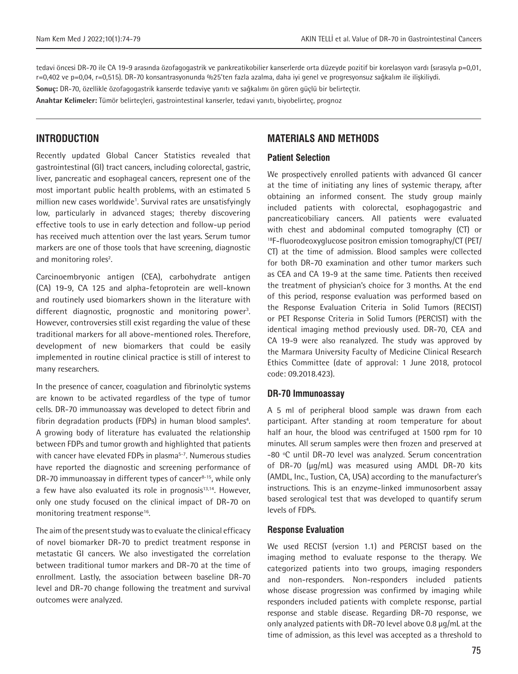tedavi öncesi DR-70 ile CA 19-9 arasında özofagogastrik ve pankreatikobilier kanserlerde orta düzeyde pozitif bir korelasyon vardı (sırasıyla p=0,01, r=0,402 ve p=0,04, r=0,515). DR-70 konsantrasyonunda %25'ten fazla azalma, daha iyi genel ve progresyonsuz sağkalım ile ilişkiliydi.

**Sonuç:** DR-70, özellikle özofagogastrik kanserde tedaviye yanıtı ve sağkalımı ön gören güçlü bir belirteçtir.

**Anahtar Kelimeler:** Tümör belirteçleri, gastrointestinal kanserler, tedavi yanıtı, biyobelirteç, prognoz

# **INTRODUCTION**

Recently updated Global Cancer Statistics revealed that gastrointestinal (GI) tract cancers, including colorectal, gastric, liver, pancreatic and esophageal cancers, represent one of the most important public health problems, with an estimated 5 million new cases worldwide<sup>1</sup>. Survival rates are unsatisfyingly low, particularly in advanced stages; thereby discovering effective tools to use in early detection and follow-up period has received much attention over the last years. Serum tumor markers are one of those tools that have screening, diagnostic and monitoring roles<sup>2</sup>.

Carcinoembryonic antigen (CEA), carbohydrate antigen (CA) 19-9, CA 125 and alpha-fetoprotein are well-known and routinely used biomarkers shown in the literature with different diagnostic, prognostic and monitoring power<sup>3</sup>. However, controversies still exist regarding the value of these traditional markers for all above-mentioned roles. Therefore, development of new biomarkers that could be easily implemented in routine clinical practice is still of interest to many researchers.

In the presence of cancer, coagulation and fibrinolytic systems are known to be activated regardless of the type of tumor cells. DR-70 immunoassay was developed to detect fibrin and fibrin degradation products (FDPs) in human blood samples<sup>4</sup>. A growing body of literature has evaluated the relationship between FDPs and tumor growth and highlighted that patients with cancer have elevated FDPs in plasma<sup>5-7</sup>. Numerous studies have reported the diagnostic and screening performance of DR-70 immunoassay in different types of cancer $8-15$ , while only a few have also evaluated its role in prognosis<sup>13,14</sup>. However, only one study focused on the clinical impact of DR-70 on monitoring treatment response<sup>16</sup>.

The aim of the present study was to evaluate the clinical efficacy of novel biomarker DR-70 to predict treatment response in metastatic GI cancers. We also investigated the correlation between traditional tumor markers and DR-70 at the time of enrollment. Lastly, the association between baseline DR-70 level and DR-70 change following the treatment and survival outcomes were analyzed.

# **MATERIALS AND METHODS**

## **Patient Selection**

We prospectively enrolled patients with advanced GI cancer at the time of initiating any lines of systemic therapy, after obtaining an informed consent. The study group mainly included patients with colorectal, esophagogastric and pancreaticobiliary cancers. All patients were evaluated with chest and abdominal computed tomography (CT) or 18F-fluorodeoxyglucose positron emission tomography/CT (PET/ CT) at the time of admission. Blood samples were collected for both DR-70 examination and other tumor markers such as CEA and CA 19-9 at the same time. Patients then received the treatment of physician's choice for 3 months. At the end of this period, response evaluation was performed based on the Response Evaluation Criteria in Solid Tumors (RECIST) or PET Response Criteria in Solid Tumors (PERCIST) with the identical imaging method previously used. DR-70, CEA and CA 19-9 were also reanalyzed. The study was approved by the Marmara University Faculty of Medicine Clinical Research Ethics Committee (date of approval: 1 June 2018, protocol code: 09.2018.423).

#### **DR-70 Immunoassay**

A 5 ml of peripheral blood sample was drawn from each participant. After standing at room temperature for about half an hour, the blood was centrifuged at 1500 rpm for 10 minutes. All serum samples were then frozen and preserved at -80 ºC until DR-70 level was analyzed. Serum concentration of DR-70 (μg/mL) was measured using AMDL DR-70 kits (AMDL, Inc., Tustion, CA, USA) according to the manufacturer's instructions. This is an enzyme-linked immunosorbent assay based serological test that was developed to quantify serum levels of FDPs.

#### **Response Evaluation**

We used RECIST (version 1.1) and PERCIST based on the imaging method to evaluate response to the therapy. We categorized patients into two groups, imaging responders and non-responders. Non-responders included patients whose disease progression was confirmed by imaging while responders included patients with complete response, partial response and stable disease. Regarding DR-70 response, we only analyzed patients with DR-70 level above 0.8 μg/mL at the time of admission, as this level was accepted as a threshold to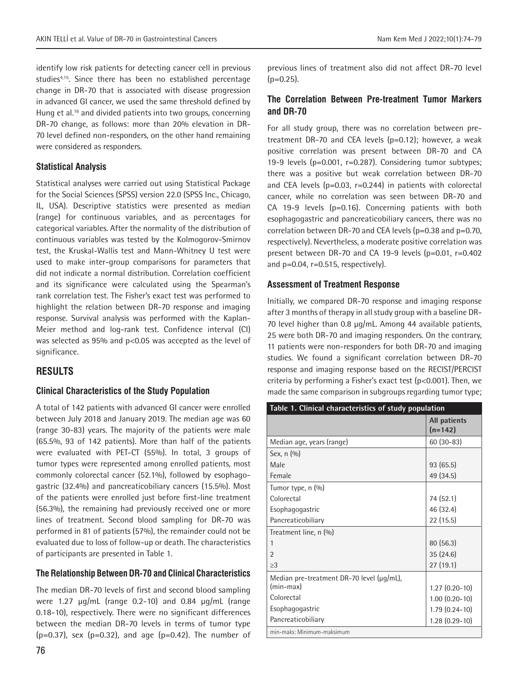identify low risk patients for detecting cancer cell in previous studies<sup>4,15</sup>. Since there has been no established percentage change in DR-70 that is associated with disease progression in advanced GI cancer, we used the same threshold defined by Hung et al.<sup>16</sup> and divided patients into two groups, concerning DR-70 change, as follows: more than 20% elevation in DR-70 level defined non-responders, on the other hand remaining were considered as responders.

#### **Statistical Analysis**

Statistical analyses were carried out using Statistical Package for the Social Sciences (SPSS) version 22.0 (SPSS Inc., Chicago, IL, USA). Descriptive statistics were presented as median (range) for continuous variables, and as percentages for categorical variables. After the normality of the distribution of continuous variables was tested by the Kolmogorov-Smirnov test, the Kruskal-Wallis test and Mann-Whitney U test were used to make inter-group comparisons for parameters that did not indicate a normal distribution. Correlation coefficient and its significance were calculated using the Spearman's rank correlation test. The Fisher's exact test was performed to highlight the relation between DR-70 response and imaging response. Survival analysis was performed with the Kaplan-Meier method and log-rank test. Confidence interval (CI) was selected as 95% and p<0.05 was accepted as the level of significance.

# **RESULTS**

## **Clinical Characteristics of the Study Population**

A total of 142 patients with advanced GI cancer were enrolled between July 2018 and January 2019. The median age was 60 (range 30-83) years. The majority of the patients were male (65.5%, 93 of 142 patients). More than half of the patients were evaluated with PET-CT (55%). In total, 3 groups of tumor types were represented among enrolled patients, most commonly colorectal cancer (52.1%), followed by esophagogastric (32.4%) and pancreaticobiliary cancers (15.5%). Most of the patients were enrolled just before first-line treatment (56.3%), the remaining had previously received one or more lines of treatment. Second blood sampling for DR-70 was performed in 81 of patients (57%), the remainder could not be evaluated due to loss of follow-up or death. The characteristics of participants are presented in Table 1.

#### **The Relationship Between DR-70 and Clinical Characteristics**

The median DR-70 levels of first and second blood sampling were 1.27 μg/mL (range 0.2-10) and 0.84 μg/mL (range 0.18-10), respectively. There were no significant differences between the median DR-70 levels in terms of tumor type  $(p=0.37)$ , sex  $(p=0.32)$ , and age  $(p=0.42)$ . The number of

previous lines of treatment also did not affect DR-70 level  $(p=0.25)$ .

## **The Correlation Between Pre-treatment Tumor Markers and DR-70**

For all study group, there was no correlation between pretreatment DR-70 and CEA levels (p=0.12); however, a weak positive correlation was present between DR-70 and CA 19-9 levels (p=0.001, r=0.287). Considering tumor subtypes; there was a positive but weak correlation between DR-70 and CEA levels  $(p=0.03, r=0.244)$  in patients with colorectal cancer, while no correlation was seen between DR-70 and CA 19-9 levels (p=0.16). Concerning patients with both esophagogastric and pancreaticobiliary cancers, there was no correlation between DR-70 and CEA levels (p=0.38 and p=0.70, respectively). Nevertheless, a moderate positive correlation was present between DR-70 and CA 19-9 levels (p=0.01, r=0.402 and  $p=0.04$ ,  $r=0.515$ , respectively).

## **Assessment of Treatment Response**

Initially, we compared DR-70 response and imaging response after 3 months of therapy in all study group with a baseline DR-70 level higher than 0.8 μg/mL. Among 44 available patients, 25 were both DR-70 and imaging responders. On the contrary, 11 patients were non-responders for both DR-70 and imaging studies. We found a significant correlation between DR-70 response and imaging response based on the RECIST/PERCIST criteria by performing a Fisher's exact test (p<0.001). Then, we made the same comparison in subgroups regarding tumor type;

| Table 1. Clinical characteristics of study population |                           |  |  |
|-------------------------------------------------------|---------------------------|--|--|
|                                                       | All patients<br>$(n=142)$ |  |  |
| Median age, years (range)                             | $60(30-83)$               |  |  |
| Sex, $n(%)$                                           |                           |  |  |
| Male                                                  | 93 (65.5)                 |  |  |
| Female                                                | 49 (34.5)                 |  |  |
| Tumor type, n (%)                                     |                           |  |  |
| Colorectal                                            | 74 (52.1)                 |  |  |
| Esophagogastric                                       | 46 (32.4)                 |  |  |
| Pancreaticobiliary                                    | 22(15.5)                  |  |  |
| Treatment line, n (%)                                 |                           |  |  |
| 1                                                     | 80 (56.3)                 |  |  |
| $\mathfrak{p}$                                        | 35 (24.6)                 |  |  |
| >3                                                    | 27(19.1)                  |  |  |
| Median pre-treatment DR-70 level (μg/mL),             |                           |  |  |
| (min-max)                                             | $1.27(0.20-10)$           |  |  |
| Colorectal                                            | $1.00(0.20-10)$           |  |  |
| Esophagogastric                                       | $1.79(0.24-10)$           |  |  |
| Pancreaticobiliary                                    | $1.28(0.29-10)$           |  |  |
| min-maks: Minimum-maksimum                            |                           |  |  |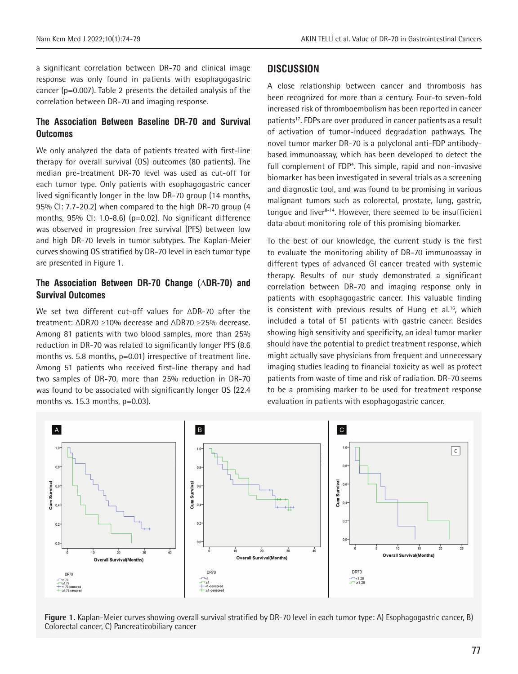a significant correlation between DR-70 and clinical image response was only found in patients with esophagogastric cancer (p=0.007). Table 2 presents the detailed analysis of the correlation between DR-70 and imaging response.

## **The Association Between Baseline DR-70 and Survival Outcomes**

We only analyzed the data of patients treated with first-line therapy for overall survival (OS) outcomes (80 patients). The median pre-treatment DR-70 level was used as cut-off for each tumor type. Only patients with esophagogastric cancer lived significantly longer in the low DR-70 group (14 months, 95% CI: 7.7-20.2) when compared to the high DR-70 group (4 months, 95% CI: 1.0-8.6) (p=0.02). No significant difference was observed in progression free survival (PFS) between low and high DR-70 levels in tumor subtypes. The Kaplan-Meier curves showing OS stratified by DR-70 level in each tumor type are presented in Figure 1.

## **The Association Between DR-70 Change (ΔDR-70) and Survival Outcomes**

We set two different cut-off values for ΔDR-70 after the treatment: ΔDR70 ≥10% decrease and ΔDR70 ≥25% decrease. Among 81 patients with two blood samples, more than 25% reduction in DR-70 was related to significantly longer PFS (8.6 months vs. 5.8 months, p=0.01) irrespective of treatment line. Among 51 patients who received first-line therapy and had two samples of DR-70, more than 25% reduction in DR-70 was found to be associated with significantly longer OS (22.4 months vs. 15.3 months, p=0.03).

## **DISCUSSION**

A close relationship between cancer and thrombosis has been recognized for more than a century. Four-to seven-fold increased risk of thromboembolism has been reported in cancer patients<sup>17</sup>. FDPs are over produced in cancer patients as a result of activation of tumor-induced degradation pathways. The novel tumor marker DR-70 is a polyclonal anti-FDP antibodybased immunoassay, which has been developed to detect the full complement of FDP<sup>4</sup>. This simple, rapid and non-invasive biomarker has been investigated in several trials as a screening and diagnostic tool, and was found to be promising in various malignant tumors such as colorectal, prostate, lung, gastric, tongue and liver<sup>8-14</sup>. However, there seemed to be insufficient data about monitoring role of this promising biomarker.

To the best of our knowledge, the current study is the first to evaluate the monitoring ability of DR-70 immunoassay in different types of advanced GI cancer treated with systemic therapy. Results of our study demonstrated a significant correlation between DR-70 and imaging response only in patients with esophagogastric cancer. This valuable finding is consistent with previous results of Hung et al.<sup>16</sup>, which included a total of 51 patients with gastric cancer. Besides showing high sensitivity and specificity, an ideal tumor marker should have the potential to predict treatment response, which might actually save physicians from frequent and unnecessary imaging studies leading to financial toxicity as well as protect patients from waste of time and risk of radiation. DR-70 seems to be a promising marker to be used for treatment response evaluation in patients with esophagogastric cancer.



**Figure 1.** Kaplan-Meier curves showing overall survival stratified by DR-70 level in each tumor type: A) Esophagogastric cancer, B) Colorectal cancer, C) Pancreaticobiliary cancer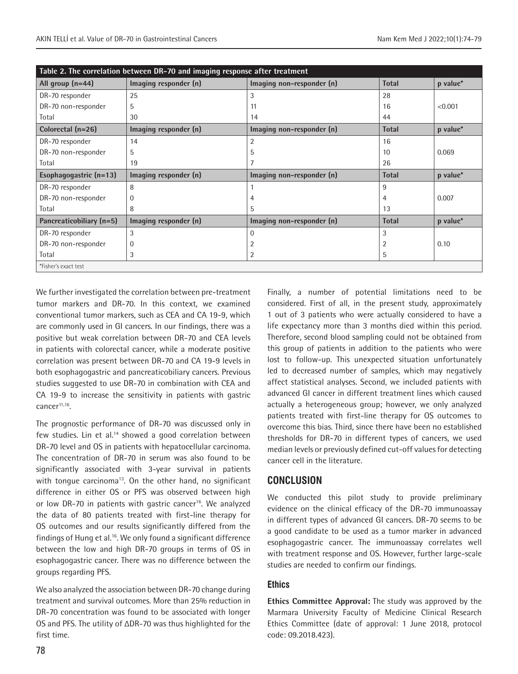| Table 2. The correlation between DR-70 and imaging response after treatment |                       |                           |                |          |  |
|-----------------------------------------------------------------------------|-----------------------|---------------------------|----------------|----------|--|
| All group $(n=44)$                                                          | Imaging responder (n) | Imaging non-responder (n) | <b>Total</b>   | p value* |  |
| DR-70 responder                                                             | 25                    | 3                         | 28             |          |  |
| DR-70 non-responder                                                         | 5                     | 11                        | 16             | < 0.001  |  |
| Total                                                                       | 30                    | 14                        | 44             |          |  |
| Colorectal (n=26)                                                           | Imaging responder (n) | Imaging non-responder (n) | <b>Total</b>   | p value* |  |
| DR-70 responder                                                             | 14                    | 2                         | 16             |          |  |
| DR-70 non-responder                                                         | 5                     | 5                         | 10             | 0.069    |  |
| Total                                                                       | 19                    |                           | 26             |          |  |
| Esophagogastric (n=13)                                                      | Imaging responder (n) | Imaging non-responder (n) | <b>Total</b>   | p value* |  |
| DR-70 responder                                                             | 8                     |                           | 9              |          |  |
| DR-70 non-responder                                                         | 0                     | 4                         | $\overline{4}$ | 0.007    |  |
| Total                                                                       | 8                     | 5                         | 13             |          |  |
| Pancreaticobiliary (n=5)                                                    | Imaging responder (n) | Imaging non-responder (n) | <b>Total</b>   | p value* |  |
| DR-70 responder                                                             | 3                     | 0                         | 3              |          |  |
|                                                                             |                       |                           |                |          |  |
| DR-70 non-responder                                                         | 0                     | 2                         | $\overline{2}$ | 0.10     |  |
| Total                                                                       | 3                     | 2                         | 5              |          |  |

We further investigated the correlation between pre-treatment tumor markers and DR-70. In this context, we examined conventional tumor markers, such as CEA and CA 19-9, which are commonly used in GI cancers. In our findings, there was a positive but weak correlation between DR-70 and CEA levels in patients with colorectal cancer, while a moderate positive correlation was present between DR-70 and CA 19-9 levels in both esophagogastric and pancreaticobiliary cancers. Previous studies suggested to use DR-70 in combination with CEA and CA 19-9 to increase the sensitivity in patients with gastric cancer<sup>11,16</sup>.

The prognostic performance of DR-70 was discussed only in few studies. Lin et al.<sup>14</sup> showed a good correlation between DR-70 level and OS in patients with hepatocellular carcinoma. The concentration of DR-70 in serum was also found to be significantly associated with 3-year survival in patients with tongue carcinoma<sup>13</sup>. On the other hand, no significant difference in either OS or PFS was observed between high or low DR-70 in patients with gastric cancer<sup>16</sup>. We analyzed the data of 80 patients treated with first-line therapy for OS outcomes and our results significantly differed from the findings of Hung et al.16. We only found a significant difference between the low and high DR-70 groups in terms of OS in esophagogastric cancer. There was no difference between the groups regarding PFS.

We also analyzed the association between DR-70 change during treatment and survival outcomes. More than 25% reduction in DR-70 concentration was found to be associated with longer OS and PFS. The utility of ΔDR-70 was thus highlighted for the first time.

Finally, a number of potential limitations need to be considered. First of all, in the present study, approximately 1 out of 3 patients who were actually considered to have a life expectancy more than 3 months died within this period. Therefore, second blood sampling could not be obtained from this group of patients in addition to the patients who were lost to follow-up. This unexpected situation unfortunately led to decreased number of samples, which may negatively affect statistical analyses. Second, we included patients with advanced GI cancer in different treatment lines which caused actually a heterogeneous group; however, we only analyzed patients treated with first-line therapy for OS outcomes to overcome this bias. Third, since there have been no established thresholds for DR-70 in different types of cancers, we used median levels or previously defined cut-off values for detecting cancer cell in the literature.

# **CONCLUSION**

We conducted this pilot study to provide preliminary evidence on the clinical efficacy of the DR-70 immunoassay in different types of advanced GI cancers. DR-70 seems to be a good candidate to be used as a tumor marker in advanced esophagogastric cancer. The immunoassay correlates well with treatment response and OS. However, further large-scale studies are needed to confirm our findings.

# **Ethics**

**Ethics Committee Approval:** The study was approved by the Marmara University Faculty of Medicine Clinical Research Ethics Committee (date of approval: 1 June 2018, protocol code: 09.2018.423).